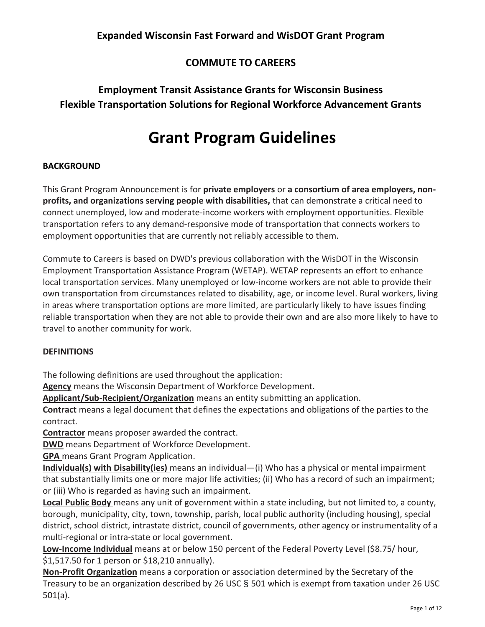# **COMMUTE TO CAREERS**

# **Employment Transit Assistance Grants for Wisconsin Business Flexible Transportation Solutions for Regional Workforce Advancement Grants**

# **Grant Program Guidelines**

# **BACKGROUND**

This Grant Program Announcement is for **private employers** or **a consortium of area employers, nonprofits, and organizations serving people with disabilities,** that can demonstrate a critical need to connect unemployed, low and moderate-income workers with employment opportunities. Flexible transportation refers to any demand-responsive mode of transportation that connects workers to employment opportunities that are currently not reliably accessible to them.

Commute to Careers is based on DWD's previous collaboration with the WisDOT in the Wisconsin Employment Transportation Assistance Program (WETAP). WETAP represents an effort to enhance local transportation services. Many unemployed or low-income workers are not able to provide their own transportation from circumstances related to disability, age, or income level. Rural workers, living in areas where transportation options are more limited, are particularly likely to have issues finding reliable transportation when they are not able to provide their own and are also more likely to have to travel to another community for work.

# **DEFINITIONS**

The following definitions are used throughout the application:

**Agency** means the Wisconsin Department of Workforce Development.

**Applicant/Sub-Recipient/Organization** means an entity submitting an application.

**Contract** means a legal document that defines the expectations and obligations of the parties to the contract.

**Contractor** means proposer awarded the contract.

**DWD** means Department of Workforce Development.

**GPA** means Grant Program Application.

**Individual(s) with Disability(ies)** means an individual—(i) Who has a physical or mental impairment that substantially limits one or more major life activities; (ii) Who has a record of such an impairment; or (iii) Who is regarded as having such an impairment.

**Local Public Body** means any unit of government within a state including, but not limited to, a county, borough, municipality, city, town, township, parish, local public authority (including housing), special district, school district, intrastate district, council of governments, other agency or instrumentality of a multi-regional or intra-state or local government.

**Low-Income Individual** means at or below 150 percent of the Federal Poverty Level (\$8.75/ hour, \$1,517.50 for 1 person or \$18,210 annually).

**Non-Profit Organization** means a corporation or association determined by the Secretary of the Treasury to be an organization described by 26 USC § 501 which is exempt from taxation under 26 USC 501(a).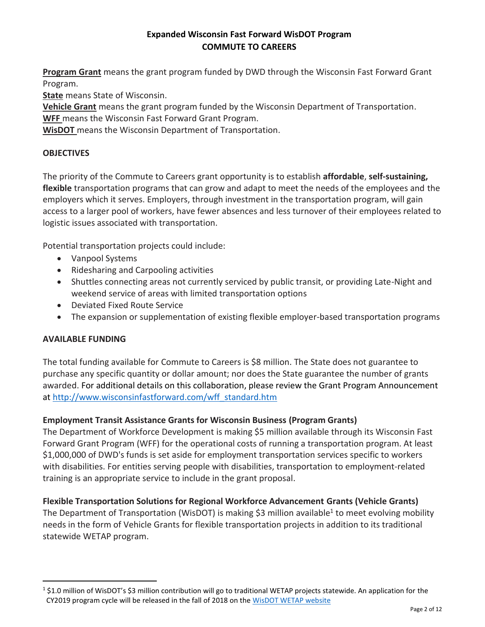**Program Grant** means the grant program funded by DWD through the Wisconsin Fast Forward Grant Program.

**State** means State of Wisconsin.

**Vehicle Grant** means the grant program funded by the Wisconsin Department of Transportation.

**WFF** means the Wisconsin Fast Forward Grant Program.

**WisDOT** means the Wisconsin Department of Transportation.

## **OBJECTIVES**

The priority of the Commute to Careers grant opportunity is to establish **affordable**, **self-sustaining, flexible** transportation programs that can grow and adapt to meet the needs of the employees and the employers which it serves. Employers, through investment in the transportation program, will gain access to a larger pool of workers, have fewer absences and less turnover of their employees related to logistic issues associated with transportation.

Potential transportation projects could include:

- Vanpool Systems
- Ridesharing and Carpooling activities
- Shuttles connecting areas not currently serviced by public transit, or providing Late-Night and weekend service of areas with limited transportation options
- Deviated Fixed Route Service
- The expansion or supplementation of existing flexible employer-based transportation programs

#### **AVAILABLE FUNDING**

 $\overline{a}$ 

The total funding available for Commute to Careers is \$8 million. The State does not guarantee to purchase any specific quantity or dollar amount; nor does the State guarantee the number of grants awarded. For additional details on this collaboration, please review the Grant Program Announcement at [http://www.wisconsinfastforward.com/wff\\_standard.htm](http://www.wisconsinfastforward.com/wff_standard.htm)

#### **Employment Transit Assistance Grants for Wisconsin Business (Program Grants)**

The Department of Workforce Development is making \$5 million available through its Wisconsin Fast Forward Grant Program (WFF) for the operational costs of running a transportation program. At least \$1,000,000 of DWD's funds is set aside for employment transportation services specific to workers with disabilities. For entities serving people with disabilities, transportation to employment-related training is an appropriate service to include in the grant proposal.

#### **Flexible Transportation Solutions for Regional Workforce Advancement Grants (Vehicle Grants)**

The Department of Transportation (WisDOT) is making \$3 million available<sup>1</sup> to meet evolving mobility needs in the form of Vehicle Grants for flexible transportation projects in addition to its traditional statewide WETAP program.

<sup>&</sup>lt;sup>1</sup> \$1.0 million of WisDOT's \$3 million contribution will go to traditional WETAP projects statewide. An application for the CY2019 program cycle will be released in the fall of 2018 on the [WisDOT WETAP website](https://wisconsindot.gov/Pages/doing-bus/local-gov/astnce-pgms/transit/wetap.aspx)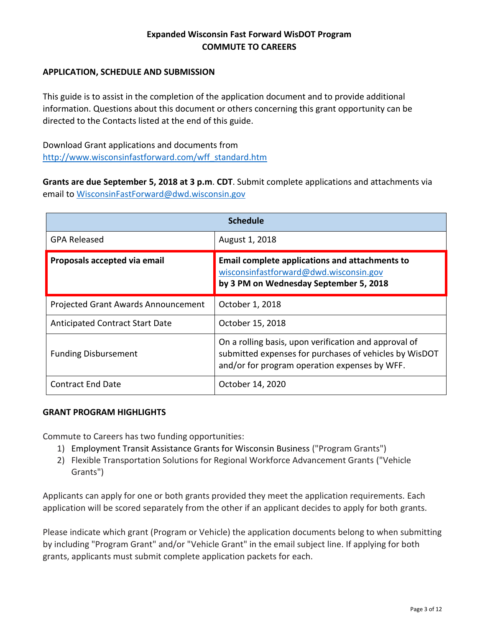## **APPLICATION, SCHEDULE AND SUBMISSION**

This guide is to assist in the completion of the application document and to provide additional information. Questions about this document or others concerning this grant opportunity can be directed to the Contacts listed at the end of this guide.

Download Grant applications and documents from [http://www.wisconsinfastforward.com/wff\\_standard.htm](http://www.wisconsinfastforward.com/wff_standard.htm)

**Grants are due September 5, 2018 at 3 p.m**. **CDT**. Submit complete applications and attachments via email to [WisconsinFastForward@dwd.wisconsin.gov](mailto:WisconsinFastForward@dwd.wisconsin.gov)

| <b>Schedule</b>                        |                                                                                                                                                                  |  |  |
|----------------------------------------|------------------------------------------------------------------------------------------------------------------------------------------------------------------|--|--|
| <b>GPA Released</b>                    | August 1, 2018                                                                                                                                                   |  |  |
| Proposals accepted via email           | <b>Email complete applications and attachments to</b><br>wisconsinfastforward@dwd.wisconsin.gov<br>by 3 PM on Wednesday September 5, 2018                        |  |  |
| Projected Grant Awards Announcement    | October 1, 2018                                                                                                                                                  |  |  |
| <b>Anticipated Contract Start Date</b> | October 15, 2018                                                                                                                                                 |  |  |
| <b>Funding Disbursement</b>            | On a rolling basis, upon verification and approval of<br>submitted expenses for purchases of vehicles by WisDOT<br>and/or for program operation expenses by WFF. |  |  |
| <b>Contract End Date</b>               | October 14, 2020                                                                                                                                                 |  |  |

#### **GRANT PROGRAM HIGHLIGHTS**

Commute to Careers has two funding opportunities:

- 1) Employment Transit Assistance Grants for Wisconsin Business ("Program Grants")
- 2) Flexible Transportation Solutions for Regional Workforce Advancement Grants ("Vehicle Grants")

Applicants can apply for one or both grants provided they meet the application requirements. Each application will be scored separately from the other if an applicant decides to apply for both grants.

Please indicate which grant (Program or Vehicle) the application documents belong to when submitting by including "Program Grant" and/or "Vehicle Grant" in the email subject line. If applying for both grants, applicants must submit complete application packets for each.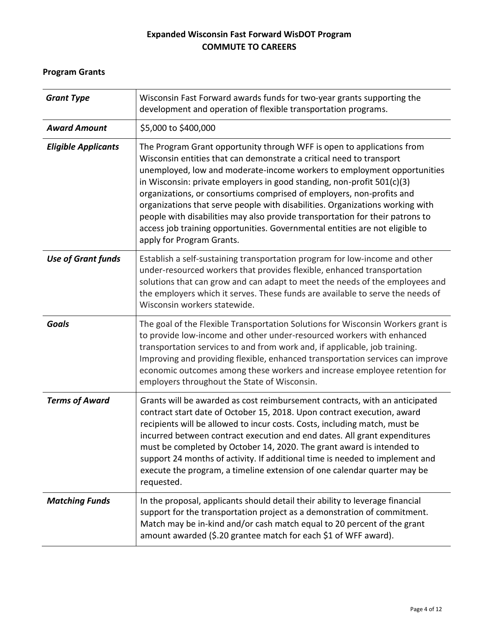# **Program Grants**

| <b>Grant Type</b>          | Wisconsin Fast Forward awards funds for two-year grants supporting the<br>development and operation of flexible transportation programs.                                                                                                                                                                                                                                                                                                                                                                                                                                                                                                                    |  |
|----------------------------|-------------------------------------------------------------------------------------------------------------------------------------------------------------------------------------------------------------------------------------------------------------------------------------------------------------------------------------------------------------------------------------------------------------------------------------------------------------------------------------------------------------------------------------------------------------------------------------------------------------------------------------------------------------|--|
| <b>Award Amount</b>        | \$5,000 to \$400,000                                                                                                                                                                                                                                                                                                                                                                                                                                                                                                                                                                                                                                        |  |
| <b>Eligible Applicants</b> | The Program Grant opportunity through WFF is open to applications from<br>Wisconsin entities that can demonstrate a critical need to transport<br>unemployed, low and moderate-income workers to employment opportunities<br>in Wisconsin: private employers in good standing, non-profit 501(c)(3)<br>organizations, or consortiums comprised of employers, non-profits and<br>organizations that serve people with disabilities. Organizations working with<br>people with disabilities may also provide transportation for their patrons to<br>access job training opportunities. Governmental entities are not eligible to<br>apply for Program Grants. |  |
| <b>Use of Grant funds</b>  | Establish a self-sustaining transportation program for low-income and other<br>under-resourced workers that provides flexible, enhanced transportation<br>solutions that can grow and can adapt to meet the needs of the employees and<br>the employers which it serves. These funds are available to serve the needs of<br>Wisconsin workers statewide.                                                                                                                                                                                                                                                                                                    |  |
| <b>Goals</b>               | The goal of the Flexible Transportation Solutions for Wisconsin Workers grant is<br>to provide low-income and other under-resourced workers with enhanced<br>transportation services to and from work and, if applicable, job training.<br>Improving and providing flexible, enhanced transportation services can improve<br>economic outcomes among these workers and increase employee retention for<br>employers throughout the State of Wisconsin.                                                                                                                                                                                                      |  |
| <b>Terms of Award</b>      | Grants will be awarded as cost reimbursement contracts, with an anticipated<br>contract start date of October 15, 2018. Upon contract execution, award<br>recipients will be allowed to incur costs. Costs, including match, must be<br>incurred between contract execution and end dates. All grant expenditures<br>must be completed by October 14, 2020. The grant award is intended to<br>support 24 months of activity. If additional time is needed to implement and<br>execute the program, a timeline extension of one calendar quarter may be<br>requested.                                                                                        |  |
| <b>Matching Funds</b>      | In the proposal, applicants should detail their ability to leverage financial<br>support for the transportation project as a demonstration of commitment.<br>Match may be in-kind and/or cash match equal to 20 percent of the grant<br>amount awarded (\$.20 grantee match for each \$1 of WFF award).                                                                                                                                                                                                                                                                                                                                                     |  |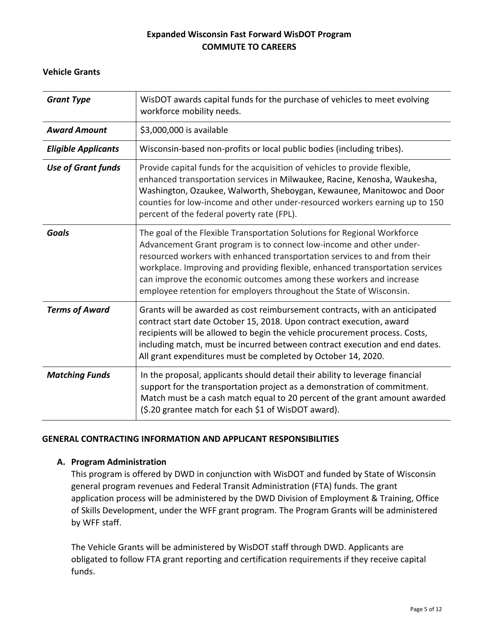## **Vehicle Grants**

| <b>Grant Type</b>          | WisDOT awards capital funds for the purchase of vehicles to meet evolving<br>workforce mobility needs.                                                                                                                                                                                                                                                                                                                                                     |  |
|----------------------------|------------------------------------------------------------------------------------------------------------------------------------------------------------------------------------------------------------------------------------------------------------------------------------------------------------------------------------------------------------------------------------------------------------------------------------------------------------|--|
| <b>Award Amount</b>        | \$3,000,000 is available                                                                                                                                                                                                                                                                                                                                                                                                                                   |  |
| <b>Eligible Applicants</b> | Wisconsin-based non-profits or local public bodies (including tribes).                                                                                                                                                                                                                                                                                                                                                                                     |  |
| <b>Use of Grant funds</b>  | Provide capital funds for the acquisition of vehicles to provide flexible,<br>enhanced transportation services in Milwaukee, Racine, Kenosha, Waukesha,<br>Washington, Ozaukee, Walworth, Sheboygan, Kewaunee, Manitowoc and Door<br>counties for low-income and other under-resourced workers earning up to 150<br>percent of the federal poverty rate (FPL).                                                                                             |  |
| <b>Goals</b>               | The goal of the Flexible Transportation Solutions for Regional Workforce<br>Advancement Grant program is to connect low-income and other under-<br>resourced workers with enhanced transportation services to and from their<br>workplace. Improving and providing flexible, enhanced transportation services<br>can improve the economic outcomes among these workers and increase<br>employee retention for employers throughout the State of Wisconsin. |  |
| <b>Terms of Award</b>      | Grants will be awarded as cost reimbursement contracts, with an anticipated<br>contract start date October 15, 2018. Upon contract execution, award<br>recipients will be allowed to begin the vehicle procurement process. Costs,<br>including match, must be incurred between contract execution and end dates.<br>All grant expenditures must be completed by October 14, 2020.                                                                         |  |
| <b>Matching Funds</b>      | In the proposal, applicants should detail their ability to leverage financial<br>support for the transportation project as a demonstration of commitment.<br>Match must be a cash match equal to 20 percent of the grant amount awarded<br>(\$.20 grantee match for each \$1 of WisDOT award).                                                                                                                                                             |  |

#### **GENERAL CONTRACTING INFORMATION AND APPLICANT RESPONSIBILITIES**

#### **A. Program Administration**

This program is offered by DWD in conjunction with WisDOT and funded by State of Wisconsin general program revenues and Federal Transit Administration (FTA) funds. The grant application process will be administered by the DWD Division of Employment & Training, Office of Skills Development, under the WFF grant program. The Program Grants will be administered by WFF staff.

The Vehicle Grants will be administered by WisDOT staff through DWD. Applicants are obligated to follow FTA grant reporting and certification requirements if they receive capital funds.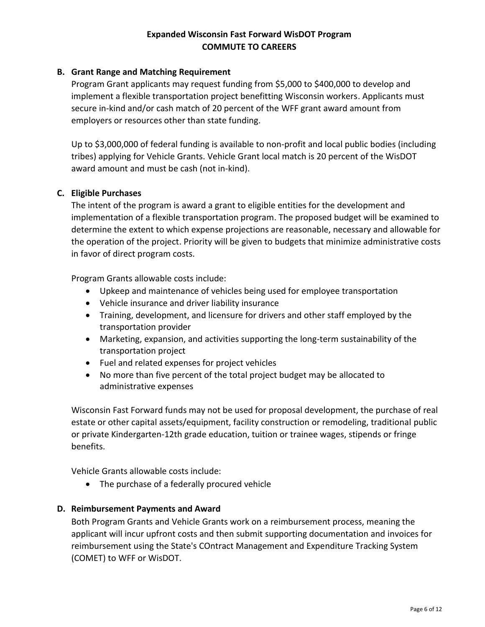## **B. Grant Range and Matching Requirement**

Program Grant applicants may request funding from \$5,000 to \$400,000 to develop and implement a flexible transportation project benefitting Wisconsin workers. Applicants must secure in-kind and/or cash match of 20 percent of the WFF grant award amount from employers or resources other than state funding.

Up to \$3,000,000 of federal funding is available to non-profit and local public bodies (including tribes) applying for Vehicle Grants. Vehicle Grant local match is 20 percent of the WisDOT award amount and must be cash (not in-kind).

#### **C. Eligible Purchases**

The intent of the program is award a grant to eligible entities for the development and implementation of a flexible transportation program. The proposed budget will be examined to determine the extent to which expense projections are reasonable, necessary and allowable for the operation of the project. Priority will be given to budgets that minimize administrative costs in favor of direct program costs.

Program Grants allowable costs include:

- Upkeep and maintenance of vehicles being used for employee transportation
- Vehicle insurance and driver liability insurance
- Training, development, and licensure for drivers and other staff employed by the transportation provider
- Marketing, expansion, and activities supporting the long-term sustainability of the transportation project
- Fuel and related expenses for project vehicles
- No more than five percent of the total project budget may be allocated to administrative expenses

Wisconsin Fast Forward funds may not be used for proposal development, the purchase of real estate or other capital assets/equipment, facility construction or remodeling, traditional public or private Kindergarten-12th grade education, tuition or trainee wages, stipends or fringe benefits.

Vehicle Grants allowable costs include:

• The purchase of a federally procured vehicle

#### **D. Reimbursement Payments and Award**

Both Program Grants and Vehicle Grants work on a reimbursement process, meaning the applicant will incur upfront costs and then submit supporting documentation and invoices for reimbursement using the State's COntract Management and Expenditure Tracking System (COMET) to WFF or WisDOT.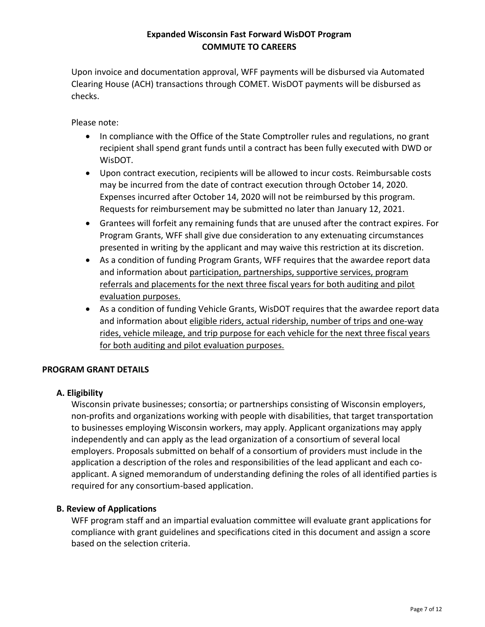Upon invoice and documentation approval, WFF payments will be disbursed via Automated Clearing House (ACH) transactions through COMET. WisDOT payments will be disbursed as checks.

Please note:

- In compliance with the Office of the State Comptroller rules and regulations, no grant recipient shall spend grant funds until a contract has been fully executed with DWD or WisDOT.
- Upon contract execution, recipients will be allowed to incur costs. Reimbursable costs may be incurred from the date of contract execution through October 14, 2020. Expenses incurred after October 14, 2020 will not be reimbursed by this program. Requests for reimbursement may be submitted no later than January 12, 2021.
- Grantees will forfeit any remaining funds that are unused after the contract expires. For Program Grants, WFF shall give due consideration to any extenuating circumstances presented in writing by the applicant and may waive this restriction at its discretion.
- As a condition of funding Program Grants, WFF requires that the awardee report data and information about participation, partnerships, supportive services, program referrals and placements for the next three fiscal years for both auditing and pilot evaluation purposes.
- As a condition of funding Vehicle Grants, WisDOT requires that the awardee report data and information about eligible riders, actual ridership, number of trips and one-way rides, vehicle mileage, and trip purpose for each vehicle for the next three fiscal years for both auditing and pilot evaluation purposes.

# **PROGRAM GRANT DETAILS**

# **A. Eligibility**

Wisconsin private businesses; consortia; or partnerships consisting of Wisconsin employers, non-profits and organizations working with people with disabilities, that target transportation to businesses employing Wisconsin workers, may apply. Applicant organizations may apply independently and can apply as the lead organization of a consortium of several local employers. Proposals submitted on behalf of a consortium of providers must include in the application a description of the roles and responsibilities of the lead applicant and each coapplicant. A signed memorandum of understanding defining the roles of all identified parties is required for any consortium-based application.

# **B. Review of Applications**

WFF program staff and an impartial evaluation committee will evaluate grant applications for compliance with grant guidelines and specifications cited in this document and assign a score based on the selection criteria.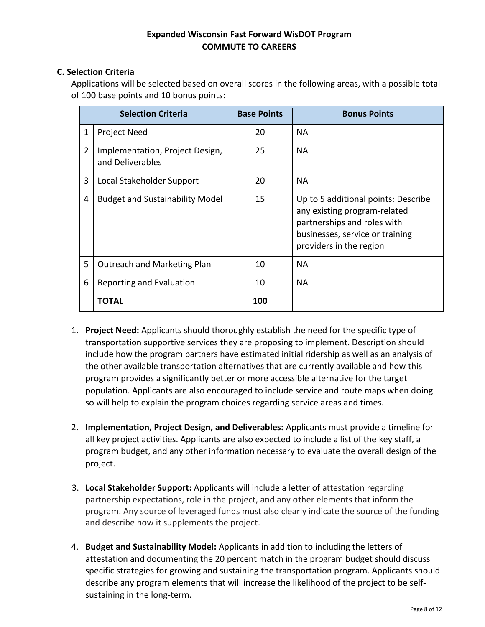## **C. Selection Criteria**

Applications will be selected based on overall scores in the following areas, with a possible total of 100 base points and 10 bonus points:

|                | <b>Selection Criteria</b>                           | <b>Base Points</b> | <b>Bonus Points</b>                                                                                                                                              |
|----------------|-----------------------------------------------------|--------------------|------------------------------------------------------------------------------------------------------------------------------------------------------------------|
| $\mathbf{1}$   | <b>Project Need</b>                                 | 20                 | <b>NA</b>                                                                                                                                                        |
| $\overline{2}$ | Implementation, Project Design,<br>and Deliverables | 25                 | <b>NA</b>                                                                                                                                                        |
| 3              | Local Stakeholder Support                           | 20                 | <b>NA</b>                                                                                                                                                        |
| 4              | <b>Budget and Sustainability Model</b>              | 15                 | Up to 5 additional points: Describe<br>any existing program-related<br>partnerships and roles with<br>businesses, service or training<br>providers in the region |
| 5              | Outreach and Marketing Plan                         | 10                 | <b>NA</b>                                                                                                                                                        |
| 6              | Reporting and Evaluation                            | 10                 | <b>NA</b>                                                                                                                                                        |
|                | <b>TOTAL</b>                                        | 100                |                                                                                                                                                                  |

- 1. **Project Need:** Applicants should thoroughly establish the need for the specific type of transportation supportive services they are proposing to implement. Description should include how the program partners have estimated initial ridership as well as an analysis of the other available transportation alternatives that are currently available and how this program provides a significantly better or more accessible alternative for the target population. Applicants are also encouraged to include service and route maps when doing so will help to explain the program choices regarding service areas and times.
- 2. **Implementation, Project Design, and Deliverables:** Applicants must provide a timeline for all key project activities. Applicants are also expected to include a list of the key staff, a program budget, and any other information necessary to evaluate the overall design of the project.
- 3. **Local Stakeholder Support:** Applicants will include a letter of attestation regarding partnership expectations, role in the project, and any other elements that inform the program. Any source of leveraged funds must also clearly indicate the source of the funding and describe how it supplements the project.
- 4. **Budget and Sustainability Model:** Applicants in addition to including the letters of attestation and documenting the 20 percent match in the program budget should discuss specific strategies for growing and sustaining the transportation program. Applicants should describe any program elements that will increase the likelihood of the project to be selfsustaining in the long-term.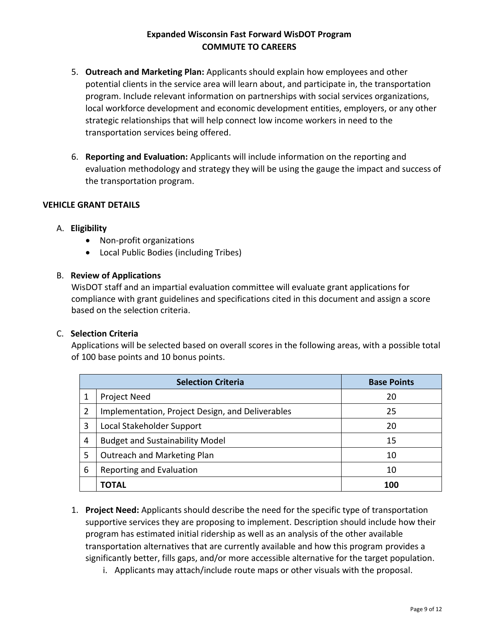- 5. **Outreach and Marketing Plan:** Applicants should explain how employees and other potential clients in the service area will learn about, and participate in, the transportation program. Include relevant information on partnerships with social services organizations, local workforce development and economic development entities, employers, or any other strategic relationships that will help connect low income workers in need to the transportation services being offered.
- 6. **Reporting and Evaluation:** Applicants will include information on the reporting and evaluation methodology and strategy they will be using the gauge the impact and success of the transportation program.

#### **VEHICLE GRANT DETAILS**

#### A. **Eligibility**

- Non-profit organizations
- Local Public Bodies (including Tribes)

#### B. **Review of Applications**

WisDOT staff and an impartial evaluation committee will evaluate grant applications for compliance with grant guidelines and specifications cited in this document and assign a score based on the selection criteria.

#### C. **Selection Criteria**

Applications will be selected based on overall scores in the following areas, with a possible total of 100 base points and 10 bonus points.

| <b>Selection Criteria</b> |                                                  | <b>Base Points</b> |
|---------------------------|--------------------------------------------------|--------------------|
|                           | Project Need                                     | 20                 |
| 2                         | Implementation, Project Design, and Deliverables | 25                 |
| 3                         | Local Stakeholder Support                        | 20                 |
| 4                         | <b>Budget and Sustainability Model</b>           | 15                 |
| 5                         | Outreach and Marketing Plan                      | 10                 |
| 6                         | Reporting and Evaluation                         | 10                 |
|                           | <b>TOTAL</b>                                     | 100                |

- 1. **Project Need:** Applicants should describe the need for the specific type of transportation supportive services they are proposing to implement. Description should include how their program has estimated initial ridership as well as an analysis of the other available transportation alternatives that are currently available and how this program provides a significantly better, fills gaps, and/or more accessible alternative for the target population.
	- i. Applicants may attach/include route maps or other visuals with the proposal.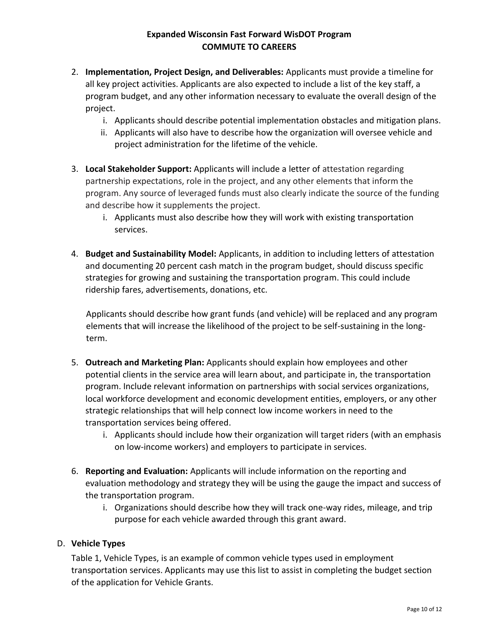- 2. **Implementation, Project Design, and Deliverables:** Applicants must provide a timeline for all key project activities. Applicants are also expected to include a list of the key staff, a program budget, and any other information necessary to evaluate the overall design of the project.
	- i. Applicants should describe potential implementation obstacles and mitigation plans.
	- ii. Applicants will also have to describe how the organization will oversee vehicle and project administration for the lifetime of the vehicle.
- 3. **Local Stakeholder Support:** Applicants will include a letter of attestation regarding partnership expectations, role in the project, and any other elements that inform the program. Any source of leveraged funds must also clearly indicate the source of the funding and describe how it supplements the project.
	- i. Applicants must also describe how they will work with existing transportation services.
- 4. **Budget and Sustainability Model:** Applicants, in addition to including letters of attestation and documenting 20 percent cash match in the program budget, should discuss specific strategies for growing and sustaining the transportation program. This could include ridership fares, advertisements, donations, etc.

Applicants should describe how grant funds (and vehicle) will be replaced and any program elements that will increase the likelihood of the project to be self-sustaining in the longterm.

- 5. **Outreach and Marketing Plan:** Applicants should explain how employees and other potential clients in the service area will learn about, and participate in, the transportation program. Include relevant information on partnerships with social services organizations, local workforce development and economic development entities, employers, or any other strategic relationships that will help connect low income workers in need to the transportation services being offered.
	- i. Applicants should include how their organization will target riders (with an emphasis on low-income workers) and employers to participate in services.
- 6. **Reporting and Evaluation:** Applicants will include information on the reporting and evaluation methodology and strategy they will be using the gauge the impact and success of the transportation program.
	- i. Organizations should describe how they will track one-way rides, mileage, and trip purpose for each vehicle awarded through this grant award.

# D. **Vehicle Types**

Table 1, Vehicle Types, is an example of common vehicle types used in employment transportation services. Applicants may use this list to assist in completing the budget section of the application for Vehicle Grants.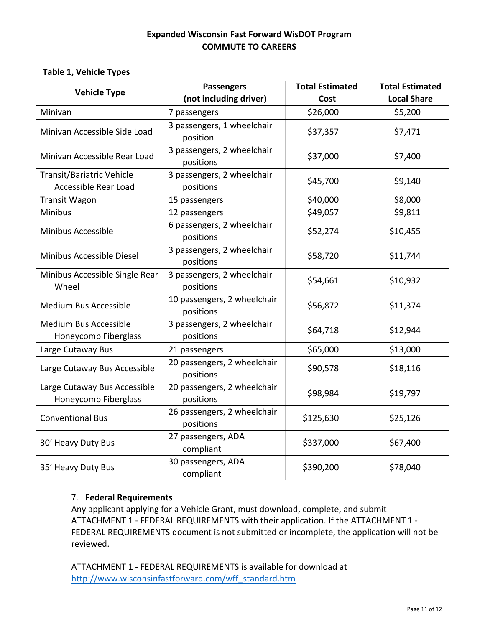#### **Table 1, Vehicle Types**

| <b>Vehicle Type</b>            | <b>Passengers</b>                        | <b>Total Estimated</b> | <b>Total Estimated</b> |  |
|--------------------------------|------------------------------------------|------------------------|------------------------|--|
|                                | (not including driver)                   | Cost                   | <b>Local Share</b>     |  |
| Minivan                        | 7 passengers                             | \$26,000               | \$5,200                |  |
| Minivan Accessible Side Load   | 3 passengers, 1 wheelchair               | \$37,357               | \$7,471                |  |
|                                | position                                 |                        |                        |  |
| Minivan Accessible Rear Load   | 3 passengers, 2 wheelchair               | \$37,000               | \$7,400                |  |
|                                | positions                                |                        |                        |  |
| Transit/Bariatric Vehicle      | 3 passengers, 2 wheelchair               | \$45,700               | \$9,140                |  |
| Accessible Rear Load           | positions                                |                        |                        |  |
| <b>Transit Wagon</b>           | 15 passengers                            | \$40,000               | \$8,000                |  |
| <b>Minibus</b>                 | 12 passengers                            | \$49,057               | \$9,811                |  |
| Minibus Accessible             | 6 passengers, 2 wheelchair               | \$52,274               |                        |  |
|                                | positions                                |                        | \$10,455               |  |
| Minibus Accessible Diesel      | 3 passengers, 2 wheelchair               | \$58,720               | \$11,744               |  |
|                                | positions                                |                        |                        |  |
| Minibus Accessible Single Rear | 3 passengers, 2 wheelchair               | \$54,661               | \$10,932               |  |
| Wheel                          | positions                                |                        |                        |  |
| <b>Medium Bus Accessible</b>   | 10 passengers, 2 wheelchair              | \$56,872               | \$11,374               |  |
|                                | positions                                |                        |                        |  |
| Medium Bus Accessible          | 3 passengers, 2 wheelchair               | \$64,718               | \$12,944               |  |
| Honeycomb Fiberglass           | positions                                |                        |                        |  |
| Large Cutaway Bus              | 21 passengers                            | \$65,000               | \$13,000               |  |
| Large Cutaway Bus Accessible   | 20 passengers, 2 wheelchair<br>positions | \$90,578               | \$18,116               |  |
| Large Cutaway Bus Accessible   | 20 passengers, 2 wheelchair              |                        |                        |  |
| Honeycomb Fiberglass           | positions                                | \$98,984               | \$19,797               |  |
| <b>Conventional Bus</b>        | 26 passengers, 2 wheelchair              |                        |                        |  |
|                                | positions                                | \$125,630              | \$25,126               |  |
| 30' Heavy Duty Bus             | 27 passengers, ADA                       | \$337,000              | \$67,400               |  |
|                                | compliant                                |                        |                        |  |
| 35' Heavy Duty Bus             | 30 passengers, ADA                       | \$390,200              | \$78,040               |  |
|                                | compliant                                |                        |                        |  |

#### 7. **Federal Requirements**

Any applicant applying for a Vehicle Grant, must download, complete, and submit ATTACHMENT 1 - FEDERAL REQUIREMENTS with their application. If the ATTACHMENT 1 - FEDERAL REQUIREMENTS document is not submitted or incomplete, the application will not be reviewed.

ATTACHMENT 1 - FEDERAL REQUIREMENTS is available for download at [http://www.wisconsinfastforward.com/wff\\_standard.htm](http://www.wisconsinfastforward.com/wff_standard.htm)